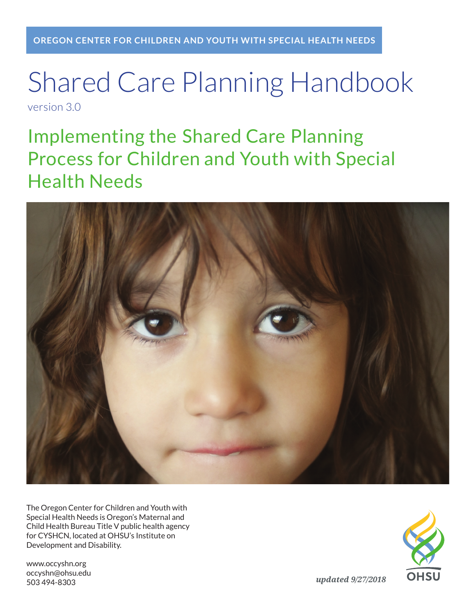# Shared Care Planning Handbook version 3.0

Implementing the Shared Care Planning Process for Children and Youth with Special Health Needs



The Oregon Center for Children and Youth with Special Health Needs is Oregon's Maternal and Child Health Bureau Title V public health agency for CYSHCN, located at OHSU's Institute on Development and Disability.

www.occyshn.org occyshn@ohsu.edu 503 494-8303

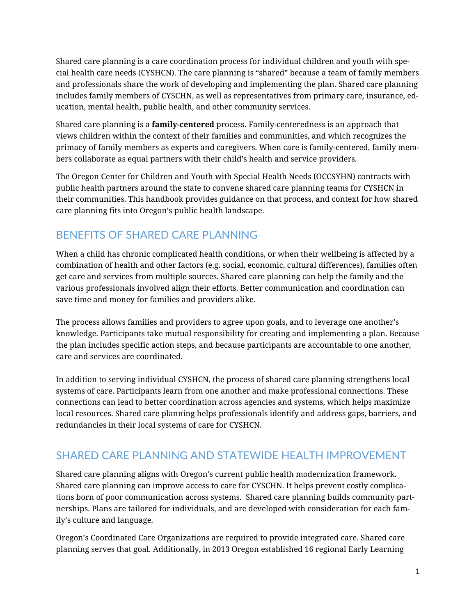Shared care planning is a care coordination process for individual children and youth with special health care needs (CYSHCN). The care planning is "shared" because a team of family members and professionals share the work of developing and implementing the plan. Shared care planning includes family members of CYSCHN, as well as representatives from primary care, insurance, education, mental health, public health, and other community services.

Shared care planning is a **family-centered** process**.** Family-centeredness is an approach that views children within the context of their families and communities, and which recognizes the primacy of family members as experts and caregivers. When care is family-centered, family members collaborate as equal partners with their child's health and service providers.

The Oregon Center for Children and Youth with Special Health Needs (OCCSYHN) contracts with public health partners around the state to convene shared care planning teams for CYSHCN in their communities. This handbook provides guidance on that process, and context for how shared care planning fits into Oregon's public health landscape.

### BENEFITS OF SHARED CARE PLANNING

When a child has chronic complicated health conditions, or when their wellbeing is affected by a combination of health and other factors (e.g. social, economic, cultural differences), families often get care and services from multiple sources. Shared care planning can help the family and the various professionals involved align their efforts. Better communication and coordination can save time and money for families and providers alike.

The process allows families and providers to agree upon goals, and to leverage one another's knowledge. Participants take mutual responsibility for creating and implementing a plan. Because the plan includes specific action steps, and because participants are accountable to one another, care and services are coordinated.

In addition to serving individual CYSHCN, the process of shared care planning strengthens local systems of care. Participants learn from one another and make professional connections. These connections can lead to better coordination across agencies and systems, which helps maximize local resources. Shared care planning helps professionals identify and address gaps, barriers, and redundancies in their local systems of care for CYSHCN.

### SHARED CARE PLANNING AND STATEWIDE HEALTH IMPROVEMENT

Shared care planning aligns with Oregon's current public health modernization framework. Shared care planning can improve access to care for CYSCHN. It helps prevent costly complications born of poor communication across systems. Shared care planning builds community partnerships. Plans are tailored for individuals, and are developed with consideration for each family's culture and language.

Oregon's Coordinated Care Organizations are required to provide integrated care. Shared care planning serves that goal. Additionally, in 2013 Oregon established 16 regional Early Learning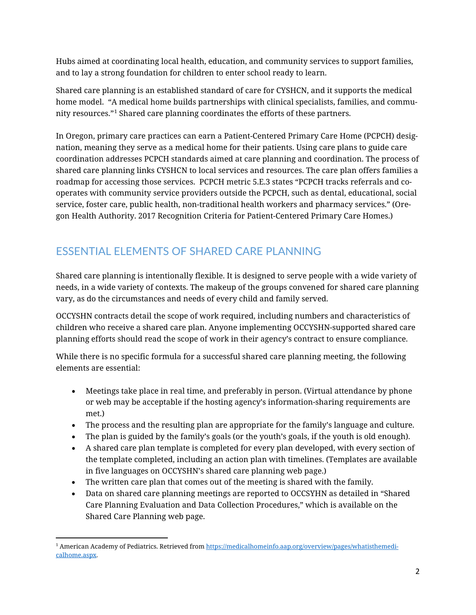Hubs aimed at coordinating local health, education, and community services to support families, and to lay a strong foundation for children to enter school ready to learn.

Shared care planning is an established standard of care for CYSHCN, and it supports the medical home model. "A medical home builds partnerships with clinical specialists, families, and community resources."[1](#page-2-0) Shared care planning coordinates the efforts of these partners.

In Oregon, primary care practices can earn a Patient-Centered Primary Care Home (PCPCH) designation, meaning they serve as a medical home for their patients. Using care plans to guide care coordination addresses PCPCH standards aimed at care planning and coordination. The process of shared care planning links CYSHCN to local services and resources. The care plan offers families a roadmap for accessing those services. PCPCH metric 5.E.3 states "PCPCH tracks referrals and cooperates with community service providers outside the PCPCH, such as dental, educational, social service, foster care, public health, non-traditional health workers and pharmacy services." (Oregon Health Authority. 2017 Recognition Criteria for Patient-Centered Primary Care Homes.)

### ESSENTIAL ELEMENTS OF SHARED CARE PLANNING

Shared care planning is intentionally flexible. It is designed to serve people with a wide variety of needs, in a wide variety of contexts. The makeup of the groups convened for shared care planning vary, as do the circumstances and needs of every child and family served.

OCCYSHN contracts detail the scope of work required, including numbers and characteristics of children who receive a shared care plan. Anyone implementing OCCYSHN-supported shared care planning efforts should read the scope of work in their agency's contract to ensure compliance.

While there is no specific formula for a successful shared care planning meeting, the following elements are essential:

- Meetings take place in real time, and preferably in person. (Virtual attendance by phone or web may be acceptable if the hosting agency's information-sharing requirements are met.)
- The process and the resulting plan are appropriate for the family's language and culture.
- The plan is guided by the family's goals (or the youth's goals, if the youth is old enough).
- A shared care plan template is completed for every plan developed, with every section of the template completed, including an action plan with timelines. (Templates are available in five languages on OCCYSHN's shared care planning web page.)
- The written care plan that comes out of the meeting is shared with the family.
- Data on shared care planning meetings are reported to OCCSYHN as detailed in "Shared Care Planning Evaluation and Data Collection Procedures," which is available on the Shared Care Planning web page.

 $\overline{\phantom{a}}$ 

<span id="page-2-0"></span><sup>&</sup>lt;sup>1</sup> American Academy of Pediatrics. Retrieved fro[m https://medicalhomeinfo.aap.org/overview/pages/whatisthemedi](https://medicalhomeinfo.aap.org/overview/pages/whatisthemedicalhome.aspx)[calhome.aspx.](https://medicalhomeinfo.aap.org/overview/pages/whatisthemedicalhome.aspx)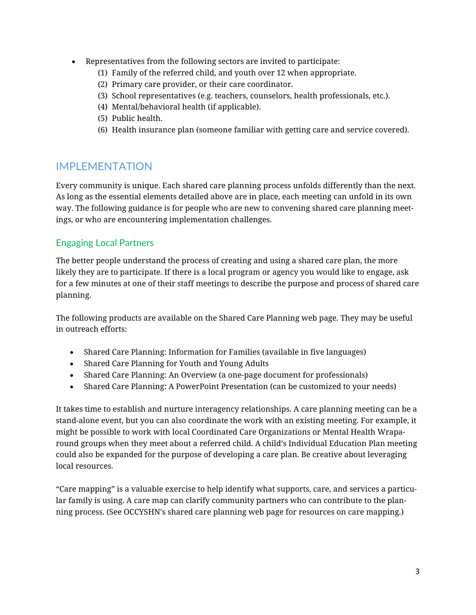- Representatives from the following sectors are invited to participate:
	- (1) Family of the referred child, and youth over 12 when appropriate.
	- (2) Primary care provider, or their care coordinator.
	- (3) School representatives (e.g. teachers, counselors, health professionals, etc.).
	- (4) Mental/behavioral health (if applicable).
	- (5) Public health.
	- (6) Health insurance plan (someone familiar with getting care and service covered).

### IMPI FMFNTATION

Every community is unique. Each shared care planning process unfolds differently than the next. As long as the essential elements detailed above are in place, each meeting can unfold in its own way. The following guidance is for people who are new to convening shared care planning meetings, or who are encountering implementation challenges.

### Engaging Local Partners

The better people understand the process of creating and using a shared care plan, the more likely they are to participate. If there is a local program or agency you would like to engage, ask for a few minutes at one of their staff meetings to describe the purpose and process of shared care planning.

The following products are available on the Shared Care Planning web page. They may be useful in outreach efforts:

- Shared Care Planning: Information for Families (available in five languages)
- Shared Care Planning for Youth and Young Adults
- Shared Care Planning: An Overview (a one-page document for professionals)
- Shared Care Planning: A PowerPoint Presentation (can be customized to your needs)

It takes time to establish and nurture interagency relationships. A care planning meeting can be a stand-alone event, but you can also coordinate the work with an existing meeting. For example, it might be possible to work with local Coordinated Care Organizations or Mental Health Wraparound groups when they meet about a referred child. A child's Individual Education Plan meeting could also be expanded for the purpose of developing a care plan. Be creative about leveraging local resources.

"Care mapping" is a valuable exercise to help identify what supports, care, and services a particular family is using. A care map can clarify community partners who can contribute to the planning process. (See OCCYSHN's shared care planning web page for resources on care mapping.)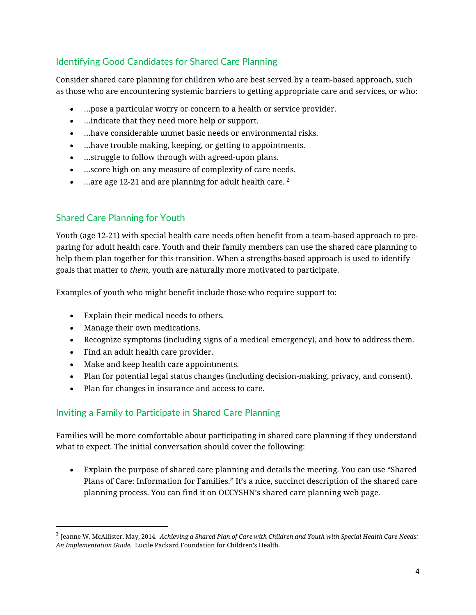### Identifying Good Candidates for Shared Care Planning

Consider shared care planning for children who are best served by a team-based approach, such as those who are encountering systemic barriers to getting appropriate care and services, or who:

- …pose a particular worry or concern to a health or service provider.
- …indicate that they need more help or support.
- …have considerable unmet basic needs or environmental risks.
- …have trouble making, keeping, or getting to appointments.
- …struggle to follow through with agreed-upon plans.
- …score high on any measure of complexity of care needs.
- …are age 1[2](#page-4-0)-21 and are planning for adult health care.  $2^2$

### Shared Care Planning for Youth

Youth (age 12-21) with special health care needs often benefit from a team-based approach to preparing for adult health care. Youth and their family members can use the shared care planning to help them plan together for this transition. When a strengths-based approach is used to identify goals that matter to *them*, youth are naturally more motivated to participate.

Examples of youth who might benefit include those who require support to:

- Explain their medical needs to others.
- Manage their own medications.
- Recognize symptoms (including signs of a medical emergency), and how to address them.
- Find an adult health care provider.
- Make and keep health care appointments.
- Plan for potential legal status changes (including decision-making, privacy, and consent).
- Plan for changes in insurance and access to care.

### Inviting a Family to Participate in Shared Care Planning

Families will be more comfortable about participating in shared care planning if they understand what to expect. The initial conversation should cover the following:

• Explain the purpose of shared care planning and details the meeting. You can use "Shared Plans of Care: Information for Families." It's a nice, succinct description of the shared care planning process. You can find it on OCCYSHN's shared care planning web page.

<span id="page-4-0"></span> <sup>2</sup> Jeanne W. McAllister. May, 2014. *Achieving <sup>a</sup> Shared Plan of Care with Children and Youth with Special Health Care Needs: An Implementation Guide.* Lucile Packard Foundation for Children's Health.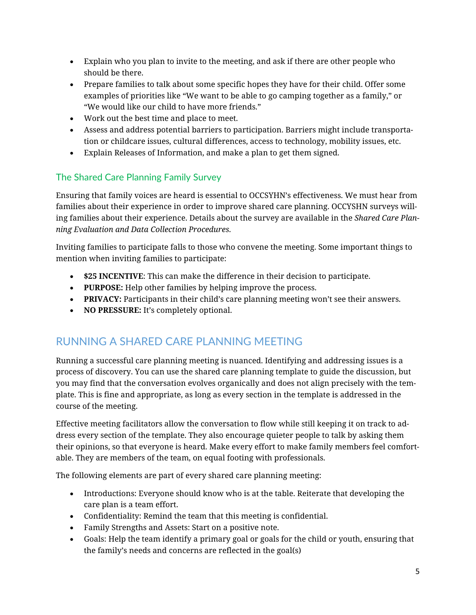- Explain who you plan to invite to the meeting, and ask if there are other people who should be there.
- Prepare families to talk about some specific hopes they have for their child. Offer some examples of priorities like "We want to be able to go camping together as a family," or "We would like our child to have more friends."
- Work out the best time and place to meet.
- Assess and address potential barriers to participation. Barriers might include transportation or childcare issues, cultural differences, access to technology, mobility issues, etc.
- Explain Releases of Information, and make a plan to get them signed.

### The Shared Care Planning Family Survey

Ensuring that family voices are heard is essential to OCCSYHN's effectiveness. We must hear from families about their experience in order to improve shared care planning. OCCYSHN surveys willing families about their experience. Details about the survey are available in the *Shared Care Planning Evaluation and Data Collection Procedures.*

Inviting families to participate falls to those who convene the meeting. Some important things to mention when inviting families to participate:

- **\$25 INCENTIVE**: This can make the difference in their decision to participate.
- **PURPOSE:** Help other families by helping improve the process.
- **PRIVACY:** Participants in their child's care planning meeting won't see their answers.
- **NO PRESSURE:** It's completely optional.

### RUNNING A SHARED CARE PLANNING MEETING

Running a successful care planning meeting is nuanced. Identifying and addressing issues is a process of discovery. You can use the shared care planning template to guide the discussion, but you may find that the conversation evolves organically and does not align precisely with the template. This is fine and appropriate, as long as every section in the template is addressed in the course of the meeting.

Effective meeting facilitators allow the conversation to flow while still keeping it on track to address every section of the template. They also encourage quieter people to talk by asking them their opinions, so that everyone is heard. Make every effort to make family members feel comfortable. They are members of the team, on equal footing with professionals.

The following elements are part of every shared care planning meeting:

- Introductions: Everyone should know who is at the table. Reiterate that developing the care plan is a team effort.
- Confidentiality: Remind the team that this meeting is confidential.
- Family Strengths and Assets: Start on a positive note.
- Goals: Help the team identify a primary goal or goals for the child or youth, ensuring that the family's needs and concerns are reflected in the goal(s)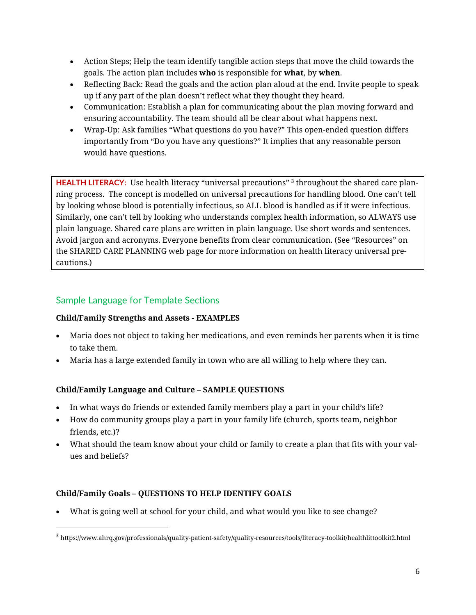- Action Steps; Help the team identify tangible action steps that move the child towards the goals. The action plan includes **who** is responsible for **what**, by **when**.
- Reflecting Back: Read the goals and the action plan aloud at the end. Invite people to speak up if any part of the plan doesn't reflect what they thought they heard.
- Communication: Establish a plan for communicating about the plan moving forward and ensuring accountability. The team should all be clear about what happens next.
- Wrap-Up: Ask families "What questions do you have?" This open-ended question differs importantly from "Do you have any questions?" It implies that any reasonable person would have questions.

**HEALTH LITERACY:** Use health literacy "universal precautions" [3](#page-6-0) throughout the shared care planning process. The concept is modelled on universal precautions for handling blood. One can't tell by looking whose blood is potentially infectious, so ALL blood is handled as if it were infectious. Similarly, one can't tell by looking who understands complex health information, so ALWAYS use plain language. Shared care plans are written in plain language. Use short words and sentences. Avoid jargon and acronyms. Everyone benefits from clear communication. (See "Resources" on the SHARED CARE PLANNING web page for more information on health literacy universal precautions.)

### Sample Language for Template Sections

### **Child/Family Strengths and Assets - EXAMPLES**

- Maria does not object to taking her medications, and even reminds her parents when it is time to take them.
- Maria has a large extended family in town who are all willing to help where they can.

### **Child/Family Language and Culture – SAMPLE QUESTIONS**

- In what ways do friends or extended family members play a part in your child's life?
- How do community groups play a part in your family life (church, sports team, neighbor friends, etc.)?
- What should the team know about your child or family to create a plan that fits with your values and beliefs?

### **Child/Family Goals – QUESTIONS TO HELP IDENTIFY GOALS**

• What is going well at school for your child, and what would you like to see change?

<span id="page-6-0"></span> <sup>3</sup> https://www.ahrq.gov/professionals/quality-patient-safety/quality-resources/tools/literacy-toolkit/healthlittoolkit2.html